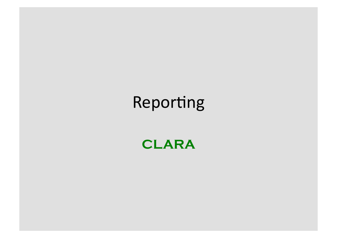## Reporting

**CLARA**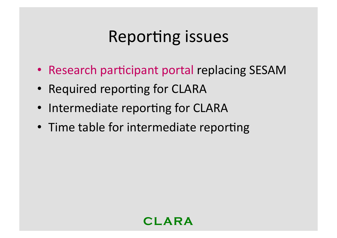### Reporting issues

- Research participant portal replacing SESAM
- Required reporting for CLARA
- Intermediate reporting for CLARA
- Time table for intermediate reporting

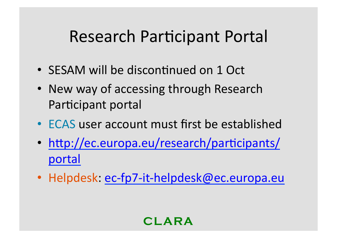### Research Participant Portal

- SESAM will be discontinued on 1 Oct
- New way of accessing through Research Participant portal
- ECAS user account must first be established
- http://ec.europa.eu/research/participants/ portal
- Helpdesk: ec-fp7-it-helpdesk@ec.europa.eu

**CLARA**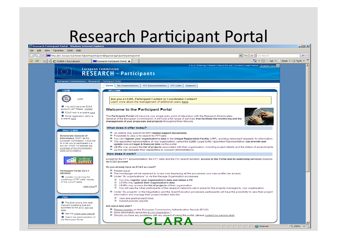# Research Participant Portal

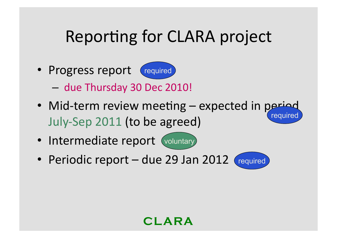## Reporting for CLARA project

• Progress report required



- due Thursday 30 Dec 2010!
- Mid-term review meeting expected in period July-Sep 2011 (to be agreed) required
- Intermediate report (voluntary)
- Periodic report due 29 Jan 2012 (required



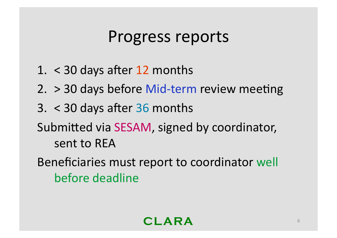### Progress reports

- 1.  $<$  30 days after 12 months
- 2.  $>$  30 days before Mid-term review meeting
- $3. < 30$  days after 36 months
- Submitted via SESAM, signed by coordinator, sent to REA
- Beneficiaries must report to coordinator well before deadline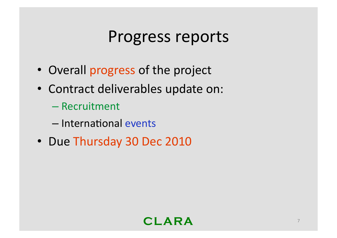### Progress reports

- Overall progress of the project
- Contract deliverables update on:
	- Recruitment)
	- International events
- Due Thursday 30 Dec 2010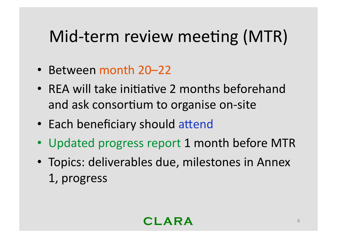# Mid-term review meeting (MTR)

- Between month 20–22
- REA will take initiative 2 months beforehand and ask consortium to organise on-site
- Each beneficiary should attend
- Updated progress report 1 month before MTR
- Topics: deliverables due, milestones in Annex 1,)progress)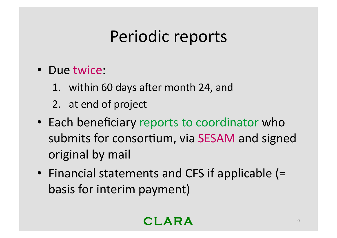## Periodic reports

- Due twice:
	- 1. within 60 days after month 24, and
	- 2. at end of project
- Each beneficiary reports to coordinator who submits for consortium, via SESAM and signed original by mail
- Financial statements and CFS if applicable (= basis for interim payment)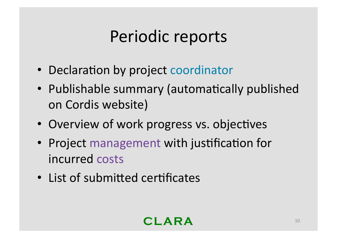## Periodic reports

- Declaration by project coordinator
- Publishable summary (automatically published on Cordis website)
- Overview of work progress vs. objectives
- Project management with justification for incurred costs
- List of submitted certificates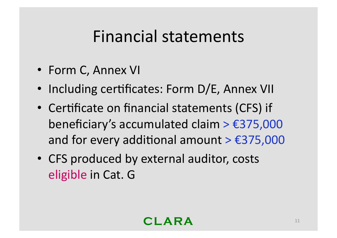### Financial statements

- Form C, Annex VI
- Including certificates: Form D/E, Annex VII
- Certificate on financial statements (CFS) if beneficiary's accumulated claim >  $£375,000$ and for every additional amount >  $£375,000$
- CFS produced by external auditor, costs eligible in Cat. G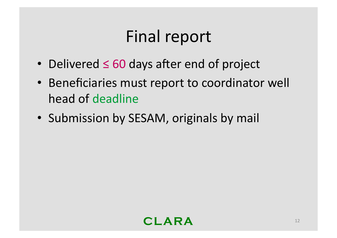## Final report

- Delivered ≤ 60 days after end of project
- Beneficiaries must report to coordinator well head of deadline
- Submission by SESAM, originals by mail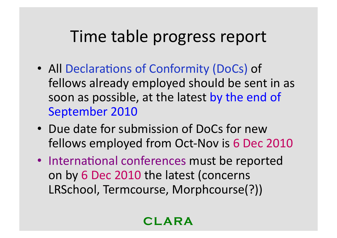#### Time table progress report

- All Declarations of Conformity (DoCs) of fellows already employed should be sent in as soon as possible, at the latest by the end of September 2010
- Due date for submission of DoCs for new fellows employed from Oct-Nov is 6 Dec 2010
- International conferences must be reported on by 6 Dec 2010 the latest (concerns) LRSchool, Termcourse, Morphcourse(?))

**CLARA**